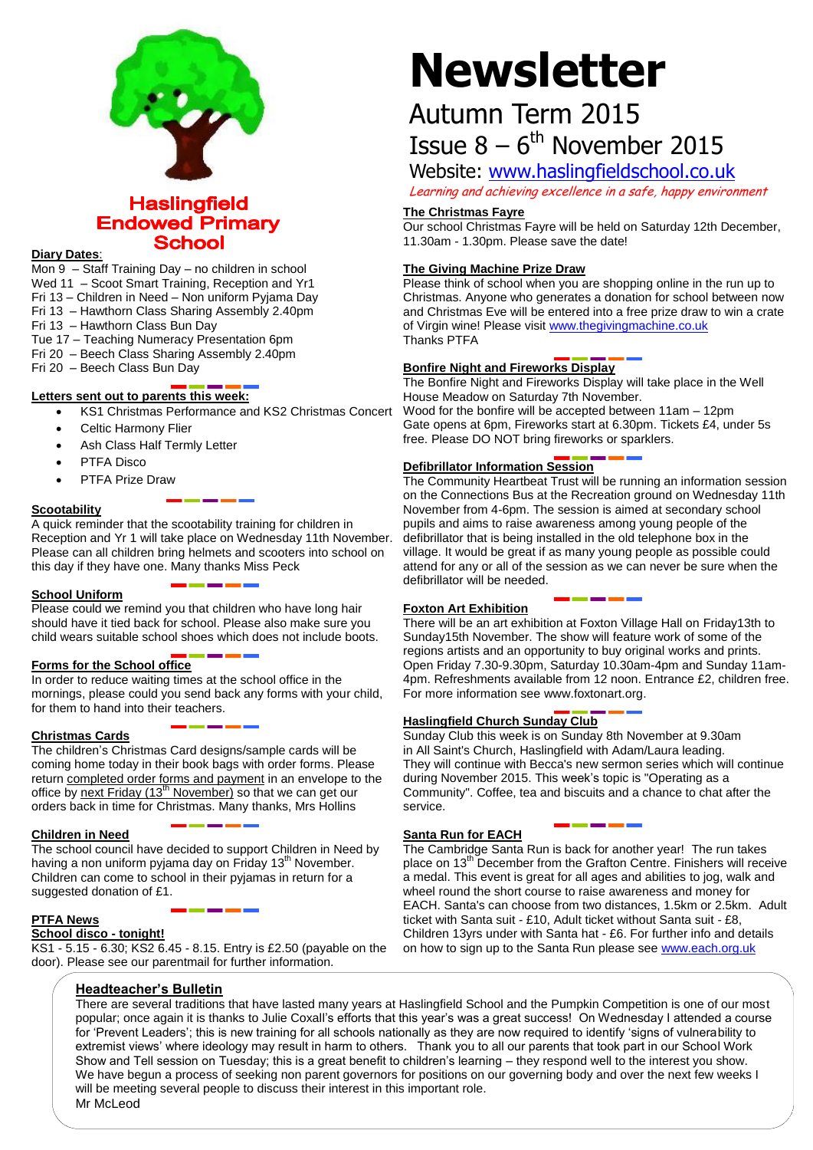

# **Haslingfield Endowed Primary School**

#### **Diary Dates**:

Mon 9 – Staff Training Day – no children in school Wed 11 – Scoot Smart Training, Reception and Yr1 Fri 13 – Children in Need – Non uniform Pyjama Day

- Fri 13 Hawthorn Class Sharing Assembly 2.40pm
- Fri 13 Hawthorn Class Bun Day

Tue 17 – Teaching Numeracy Presentation 6pm

- Fri 20 Beech Class Sharing Assembly 2.40pm
- Fri 20 Beech Class Bun Day

# **Letters sent out to parents this week:**

- KS1 Christmas Performance and KS2 Christmas Concert
- Celtic Harmony Flier
- Ash Class Half Termly Letter
- PTFA Disco
- PTFA Prize Draw

# **Scootability**

A quick reminder that the scootability training for children in Reception and Yr 1 will take place on Wednesday 11th November. Please can all children bring helmets and scooters into school on this day if they have one. Many thanks Miss Peck

#### **School Uniform**

Please could we remind you that children who have long hair should have it tied back for school. Please also make sure you child wears suitable school shoes which does not include boots.

# **Forms for the School office**

In order to reduce waiting times at the school office in the mornings, please could you send back any forms with your child, for them to hand into their teachers.

# **Christmas Cards**

The children's Christmas Card designs/sample cards will be coming home today in their book bags with order forms. Please return completed order forms and payment in an envelope to the office by next Friday  $(13<sup>th</sup> November)$  so that we can get our orders back in time for Christmas. Many thanks, Mrs Hollins

#### **Children in Need**

The school council have decided to support Children in Need by having a non uniform pyjama day on Friday  $13<sup>th</sup>$  November. Children can come to school in their pyjamas in return for a suggested donation of £1.

#### **PTFA News**

#### **School disco - tonight!**

KS1 - 5.15 - 6.30; KS2 6.45 - 8.15. Entry is £2.50 (payable on the door). Please see our parentmail for further information.

# **Headteacher's Bulletin**

# **Newsletter**

# Autumn Term 2015 Issue  $8-6^{\text{th}}$  November 2015

Website: [www.haslingfieldschool.co.uk](http://www.haslingfieldschool.co.uk/)

Learning and achieving excellence in a safe, happy environment

# **The Christmas Fayre**

Our school Christmas Fayre will be held on Saturday 12th December, 11.30am - 1.30pm. Please save the date!

# **The Giving Machine Prize Draw**

Please think of school when you are shopping online in the run up to Christmas. Anyone who generates a donation for school between now and Christmas Eve will be entered into a free prize draw to win a crate of Virgin wine! Please visit [www.thegivingmachine.co.uk](http://www.thegivingmachine.co.uk/) Thanks PTFA

# **Bonfire Night and Fireworks Display**

The Bonfire Night and Fireworks Display will take place in the Well House Meadow on Saturday 7th November. Wood for the bonfire will be accepted between 11am – 12pm Gate opens at 6pm, Fireworks start at 6.30pm. Tickets £4, under 5s free. Please DO NOT bring fireworks or sparklers.

# **Defibrillator Information Session**

The Community Heartbeat Trust will be running an information session on the Connections Bus at the Recreation ground on Wednesday 11th November from 4-6pm. The session is aimed at secondary school pupils and aims to raise awareness among young people of the defibrillator that is being installed in the old telephone box in the village. It would be great if as many young people as possible could attend for any or all of the session as we can never be sure when the defibrillator will be needed.

#### **Foxton Art Exhibition**

There will be an art exhibition at Foxton Village Hall on Friday13th to Sunday15th November. The show will feature work of some of the regions artists and an opportunity to buy original works and prints. Open Friday 7.30-9.30pm, Saturday 10.30am-4pm and Sunday 11am-4pm. Refreshments available from 12 noon. Entrance £2, children free. For more information see www.foxtonart.org.

# **Haslingfield Church Sunday Club**

Sunday Club this week is on Sunday 8th November at 9.30am in All Saint's Church, Haslingfield with Adam/Laura leading. They will continue with Becca's new sermon series which will continue during November 2015. This week's topic is "Operating as a Community". Coffee, tea and biscuits and a chance to chat after the service.

# **Santa Run for EACH**

The Cambridge Santa Run is back for another year! The run takes place on 13<sup>th</sup> December from the Grafton Centre. Finishers will receive a medal. This event is great for all ages and abilities to jog, walk and wheel round the short course to raise awareness and money for EACH. Santa's can choose from two distances, 1.5km or 2.5km. Adult ticket with Santa suit - £10, Adult ticket without Santa suit - £8, Children 13yrs under with Santa hat - £6. For further info and details on how to sign up to the Santa Run please see [www.each.org.uk](http://www.each.org.uk/)

There are several traditions that have lasted many years at Haslingfield School and the Pumpkin Competition is one of our most popular; once again it is thanks to Julie Coxall's efforts that this year's was a great success! On Wednesday I attended a course for 'Prevent Leaders'; this is new training for all schools nationally as they are now required to identify 'signs of vulnerability to extremist views' where ideology may result in harm to others. Thank you to all our parents that took part in our School Work Show and Tell session on Tuesday; this is a great benefit to children's learning – they respond well to the interest you show. We have begun a process of seeking non parent governors for positions on our governing body and over the next few weeks I will be meeting several people to discuss their interest in this important role. Mr McLeod